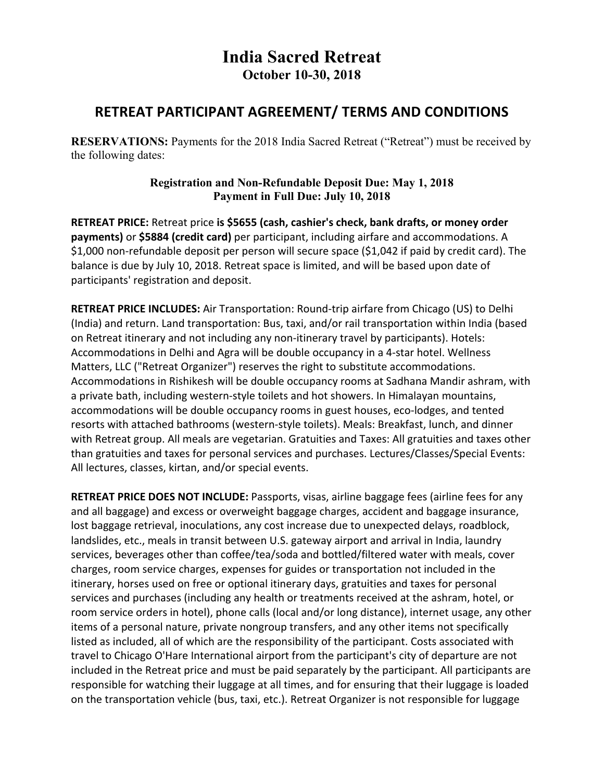## **India Sacred Retreat October 10-30, 2018**

## **RETREAT PARTICIPANT AGREEMENT/ TERMS AND CONDITIONS**

**RESERVATIONS:** Payments for the 2018 India Sacred Retreat ("Retreat") must be received by the following dates:

## **Registration and Non-Refundable Deposit Due: May 1, 2018 Payment in Full Due: July 10, 2018**

RETREAT PRICE: Retreat price is \$5655 (cash, cashier's check, bank drafts, or money order payments) or \$5884 (credit card) per participant, including airfare and accommodations. A \$1,000 non-refundable deposit per person will secure space (\$1,042 if paid by credit card). The balance is due by July 10, 2018. Retreat space is limited, and will be based upon date of participants' registration and deposit.

**RETREAT PRICE INCLUDES:** Air Transportation: Round-trip airfare from Chicago (US) to Delhi (India) and return. Land transportation: Bus, taxi, and/or rail transportation within India (based on Retreat itinerary and not including any non-itinerary travel by participants). Hotels: Accommodations in Delhi and Agra will be double occupancy in a 4-star hotel. Wellness Matters, LLC ("Retreat Organizer") reserves the right to substitute accommodations. Accommodations in Rishikesh will be double occupancy rooms at Sadhana Mandir ashram, with a private bath, including western-style toilets and hot showers. In Himalayan mountains, accommodations will be double occupancy rooms in guest houses, eco-lodges, and tented resorts with attached bathrooms (western-style toilets). Meals: Breakfast, lunch, and dinner with Retreat group. All meals are vegetarian. Gratuities and Taxes: All gratuities and taxes other than gratuities and taxes for personal services and purchases. Lectures/Classes/Special Events: All lectures, classes, kirtan, and/or special events.

**RETREAT PRICE DOES NOT INCLUDE:** Passports, visas, airline baggage fees (airline fees for any and all baggage) and excess or overweight baggage charges, accident and baggage insurance, lost baggage retrieval, inoculations, any cost increase due to unexpected delays, roadblock, landslides, etc., meals in transit between U.S. gateway airport and arrival in India, laundry services, beverages other than coffee/tea/soda and bottled/filtered water with meals, cover charges, room service charges, expenses for guides or transportation not included in the itinerary, horses used on free or optional itinerary days, gratuities and taxes for personal services and purchases (including any health or treatments received at the ashram, hotel, or room service orders in hotel), phone calls (local and/or long distance), internet usage, any other items of a personal nature, private nongroup transfers, and any other items not specifically listed as included, all of which are the responsibility of the participant. Costs associated with travel to Chicago O'Hare International airport from the participant's city of departure are not included in the Retreat price and must be paid separately by the participant. All participants are responsible for watching their luggage at all times, and for ensuring that their luggage is loaded on the transportation vehicle (bus, taxi, etc.). Retreat Organizer is not responsible for luggage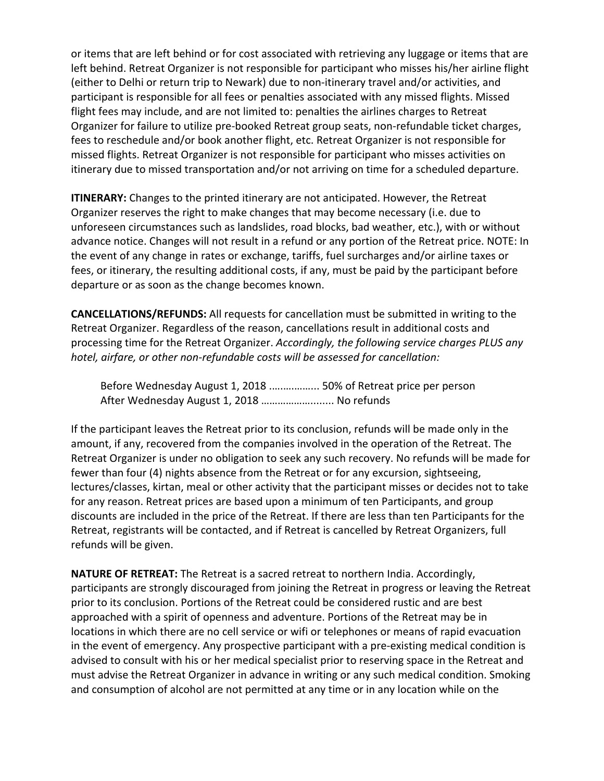or items that are left behind or for cost associated with retrieving any luggage or items that are left behind. Retreat Organizer is not responsible for participant who misses his/her airline flight (either to Delhi or return trip to Newark) due to non-itinerary travel and/or activities, and participant is responsible for all fees or penalties associated with any missed flights. Missed flight fees may include, and are not limited to: penalties the airlines charges to Retreat Organizer for failure to utilize pre-booked Retreat group seats, non-refundable ticket charges, fees to reschedule and/or book another flight, etc. Retreat Organizer is not responsible for missed flights. Retreat Organizer is not responsible for participant who misses activities on itinerary due to missed transportation and/or not arriving on time for a scheduled departure.

**ITINERARY:** Changes to the printed itinerary are not anticipated. However, the Retreat Organizer reserves the right to make changes that may become necessary (i.e. due to unforeseen circumstances such as landslides, road blocks, bad weather, etc.), with or without advance notice. Changes will not result in a refund or any portion of the Retreat price. NOTE: In the event of any change in rates or exchange, tariffs, fuel surcharges and/or airline taxes or fees, or itinerary, the resulting additional costs, if any, must be paid by the participant before departure or as soon as the change becomes known.

**CANCELLATIONS/REFUNDS:** All requests for cancellation must be submitted in writing to the Retreat Organizer. Regardless of the reason, cancellations result in additional costs and processing time for the Retreat Organizer. *Accordingly, the following service charges PLUS any hotel, airfare, or other non-refundable costs will be assessed for cancellation:*

Before Wednesday August 1, 2018 ................. 50% of Retreat price per person After Wednesday August 1, 2018 ......................... No refunds

If the participant leaves the Retreat prior to its conclusion, refunds will be made only in the amount, if any, recovered from the companies involved in the operation of the Retreat. The Retreat Organizer is under no obligation to seek any such recovery. No refunds will be made for fewer than four (4) nights absence from the Retreat or for any excursion, sightseeing, lectures/classes, kirtan, meal or other activity that the participant misses or decides not to take for any reason. Retreat prices are based upon a minimum of ten Participants, and group discounts are included in the price of the Retreat. If there are less than ten Participants for the Retreat, registrants will be contacted, and if Retreat is cancelled by Retreat Organizers, full refunds will be given.

**NATURE OF RETREAT:** The Retreat is a sacred retreat to northern India. Accordingly, participants are strongly discouraged from joining the Retreat in progress or leaving the Retreat prior to its conclusion. Portions of the Retreat could be considered rustic and are best approached with a spirit of openness and adventure. Portions of the Retreat may be in locations in which there are no cell service or wifi or telephones or means of rapid evacuation in the event of emergency. Any prospective participant with a pre-existing medical condition is advised to consult with his or her medical specialist prior to reserving space in the Retreat and must advise the Retreat Organizer in advance in writing or any such medical condition. Smoking and consumption of alcohol are not permitted at any time or in any location while on the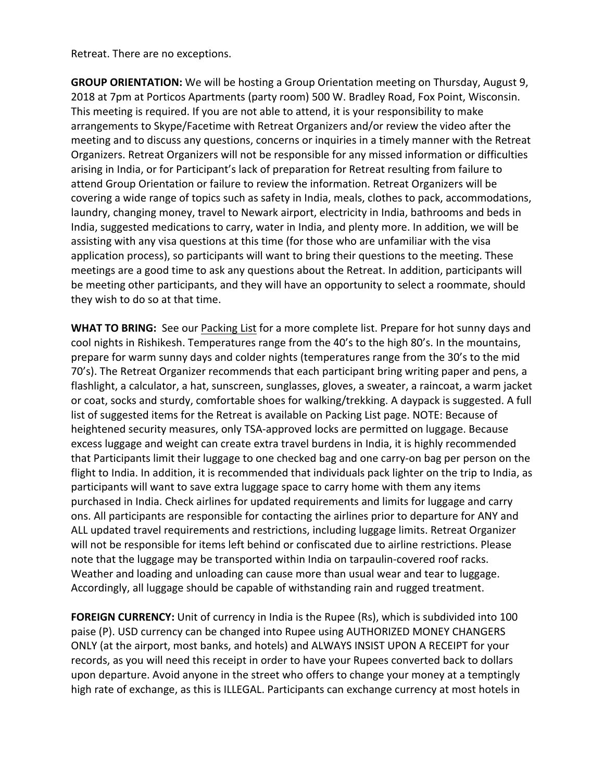Retreat. There are no exceptions.

**GROUP ORIENTATION:** We will be hosting a Group Orientation meeting on Thursday, August 9, 2018 at 7pm at Porticos Apartments (party room) 500 W. Bradley Road, Fox Point, Wisconsin. This meeting is required. If you are not able to attend, it is your responsibility to make arrangements to Skype/Facetime with Retreat Organizers and/or review the video after the meeting and to discuss any questions, concerns or inquiries in a timely manner with the Retreat Organizers. Retreat Organizers will not be responsible for any missed information or difficulties arising in India, or for Participant's lack of preparation for Retreat resulting from failure to attend Group Orientation or failure to review the information. Retreat Organizers will be covering a wide range of topics such as safety in India, meals, clothes to pack, accommodations, laundry, changing money, travel to Newark airport, electricity in India, bathrooms and beds in India, suggested medications to carry, water in India, and plenty more. In addition, we will be assisting with any visa questions at this time (for those who are unfamiliar with the visa application process), so participants will want to bring their questions to the meeting. These meetings are a good time to ask any questions about the Retreat. In addition, participants will be meeting other participants, and they will have an opportunity to select a roommate, should they wish to do so at that time.

**WHAT TO BRING:** See our Packing List for a more complete list. Prepare for hot sunny days and cool nights in Rishikesh. Temperatures range from the 40's to the high 80's. In the mountains, prepare for warm sunny days and colder nights (temperatures range from the 30's to the mid 70's). The Retreat Organizer recommends that each participant bring writing paper and pens, a flashlight, a calculator, a hat, sunscreen, sunglasses, gloves, a sweater, a raincoat, a warm jacket or coat, socks and sturdy, comfortable shoes for walking/trekking. A daypack is suggested. A full list of suggested items for the Retreat is available on Packing List page. NOTE: Because of heightened security measures, only TSA-approved locks are permitted on luggage. Because excess luggage and weight can create extra travel burdens in India, it is highly recommended that Participants limit their luggage to one checked bag and one carry-on bag per person on the flight to India. In addition, it is recommended that individuals pack lighter on the trip to India, as participants will want to save extra luggage space to carry home with them any items purchased in India. Check airlines for updated requirements and limits for luggage and carry ons. All participants are responsible for contacting the airlines prior to departure for ANY and ALL updated travel requirements and restrictions, including luggage limits. Retreat Organizer will not be responsible for items left behind or confiscated due to airline restrictions. Please note that the luggage may be transported within India on tarpaulin-covered roof racks. Weather and loading and unloading can cause more than usual wear and tear to luggage. Accordingly, all luggage should be capable of withstanding rain and rugged treatment.

**FOREIGN CURRENCY:** Unit of currency in India is the Rupee (Rs), which is subdivided into 100 paise (P). USD currency can be changed into Rupee using AUTHORIZED MONEY CHANGERS ONLY (at the airport, most banks, and hotels) and ALWAYS INSIST UPON A RECEIPT for your records, as you will need this receipt in order to have your Rupees converted back to dollars upon departure. Avoid anyone in the street who offers to change your money at a temptingly high rate of exchange, as this is ILLEGAL. Participants can exchange currency at most hotels in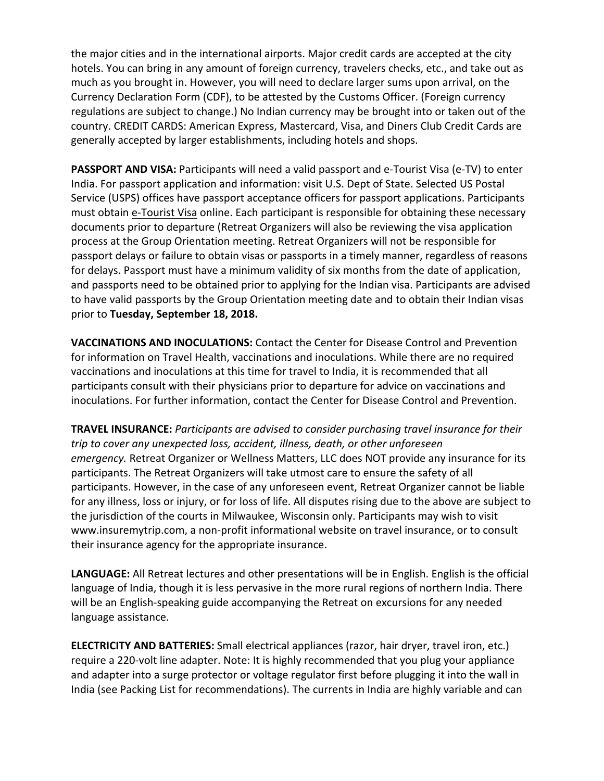the major cities and in the international airports. Major credit cards are accepted at the city hotels. You can bring in any amount of foreign currency, travelers checks, etc., and take out as much as you brought in. However, you will need to declare larger sums upon arrival, on the Currency Declaration Form (CDF), to be attested by the Customs Officer. (Foreign currency regulations are subject to change.) No Indian currency may be brought into or taken out of the country. CREDIT CARDS: American Express, Mastercard, Visa, and Diners Club Credit Cards are generally accepted by larger establishments, including hotels and shops.

**PASSPORT AND VISA:** Participants will need a valid passport and e-Tourist Visa (e-TV) to enter India. For passport application and information: visit U.S. Dept of State. Selected US Postal Service (USPS) offices have passport acceptance officers for passport applications. Participants must obtain e-Tourist Visa online. Each participant is responsible for obtaining these necessary documents prior to departure (Retreat Organizers will also be reviewing the visa application process at the Group Orientation meeting. Retreat Organizers will not be responsible for passport delays or failure to obtain visas or passports in a timely manner, regardless of reasons for delays. Passport must have a minimum validity of six months from the date of application, and passports need to be obtained prior to applying for the Indian visa. Participants are advised to have valid passports by the Group Orientation meeting date and to obtain their Indian visas prior to **Tuesday, September 18, 2018.**

**VACCINATIONS AND INOCULATIONS:** Contact the Center for Disease Control and Prevention for information on Travel Health, vaccinations and inoculations. While there are no required vaccinations and inoculations at this time for travel to India, it is recommended that all participants consult with their physicians prior to departure for advice on vaccinations and inoculations. For further information, contact the Center for Disease Control and Prevention.

**TRAVEL INSURANCE:** *Participants are advised to consider purchasing travel insurance for their trip to cover any unexpected loss, accident, illness, death, or other unforeseen emergency*. Retreat Organizer or Wellness Matters, LLC does NOT provide any insurance for its participants. The Retreat Organizers will take utmost care to ensure the safety of all participants. However, in the case of any unforeseen event, Retreat Organizer cannot be liable for any illness, loss or injury, or for loss of life. All disputes rising due to the above are subject to the jurisdiction of the courts in Milwaukee, Wisconsin only. Participants may wish to visit www.insuremytrip.com, a non-profit informational website on travel insurance, or to consult their insurance agency for the appropriate insurance.

**LANGUAGE:** All Retreat lectures and other presentations will be in English. English is the official language of India, though it is less pervasive in the more rural regions of northern India. There will be an English-speaking guide accompanying the Retreat on excursions for any needed language assistance.

**ELECTRICITY AND BATTERIES:** Small electrical appliances (razor, hair dryer, travel iron, etc.) require a 220-volt line adapter. Note: It is highly recommended that you plug your appliance and adapter into a surge protector or voltage regulator first before plugging it into the wall in India (see Packing List for recommendations). The currents in India are highly variable and can